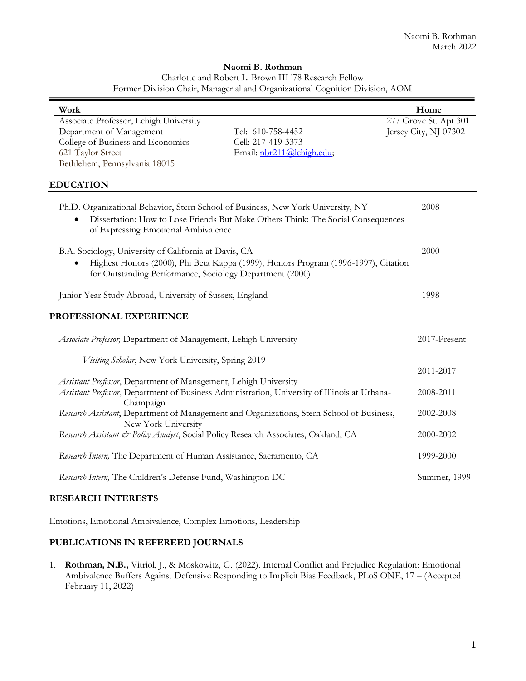### **Naomi B. Rothman**

|                                                                              | Charlotte and Robert L. Brown III '78 Research Fellow |  |
|------------------------------------------------------------------------------|-------------------------------------------------------|--|
| Former Division Chair, Managerial and Organizational Cognition Division, AOM |                                                       |  |

| Work                                                                                                                                                                                                    |                                                                                  | Home                  |
|---------------------------------------------------------------------------------------------------------------------------------------------------------------------------------------------------------|----------------------------------------------------------------------------------|-----------------------|
| Associate Professor, Lehigh University                                                                                                                                                                  |                                                                                  | 277 Grove St. Apt 301 |
| Department of Management                                                                                                                                                                                | Tel: 610-758-4452                                                                | Jersey City, NJ 07302 |
| College of Business and Economics                                                                                                                                                                       | Cell: 217-419-3373                                                               |                       |
| 621 Taylor Street                                                                                                                                                                                       | Email: nbr211@lehigh.edu;                                                        |                       |
| Bethlehem, Pennsylvania 18015                                                                                                                                                                           |                                                                                  |                       |
|                                                                                                                                                                                                         |                                                                                  |                       |
| <b>EDUCATION</b>                                                                                                                                                                                        |                                                                                  |                       |
| Ph.D. Organizational Behavior, Stern School of Business, New York University, NY<br>of Expressing Emotional Ambivalence                                                                                 | Dissertation: How to Lose Friends But Make Others Think: The Social Consequences | 2008                  |
| B.A. Sociology, University of California at Davis, CA<br>Highest Honors (2000), Phi Beta Kappa (1999), Honors Program (1996-1997), Citation<br>for Outstanding Performance, Sociology Department (2000) |                                                                                  | 2000                  |
| Junior Year Study Abroad, University of Sussex, England                                                                                                                                                 |                                                                                  | 1998                  |
| PROFESSIONAL EXPERIENCE                                                                                                                                                                                 |                                                                                  |                       |
| Associate Professor, Department of Management, Lehigh University                                                                                                                                        |                                                                                  | 2017-Present          |
| Visiting Scholar, New York University, Spring 2019                                                                                                                                                      |                                                                                  |                       |
|                                                                                                                                                                                                         |                                                                                  | 2011-2017             |
| Assistant Professor, Department of Management, Lehigh University                                                                                                                                        |                                                                                  |                       |
| Assistant Professor, Department of Business Administration, University of Illinois at Urbana-<br>Champaign                                                                                              |                                                                                  | 2008-2011             |
| Research Assistant, Department of Management and Organizations, Stern School of Business,<br>New York University                                                                                        |                                                                                  | 2002-2008             |
| Research Assistant & Policy Analyst, Social Policy Research Associates, Oakland, CA                                                                                                                     |                                                                                  | 2000-2002             |
| Research Intern, The Department of Human Assistance, Sacramento, CA                                                                                                                                     |                                                                                  | 1999-2000             |
| Research Intern, The Children's Defense Fund, Washington DC                                                                                                                                             |                                                                                  | Summer, 1999          |

#### **RESEARCH INTERESTS**

Emotions, Emotional Ambivalence, Complex Emotions, Leadership

## **PUBLICATIONS IN REFEREED JOURNALS**

1. **Rothman, N.B.,** Vitriol, J., & Moskowitz, G. (2022). Internal Conflict and Prejudice Regulation: Emotional Ambivalence Buffers Against Defensive Responding to Implicit Bias Feedback, PLoS ONE, 17 – (Accepted February 11, 2022)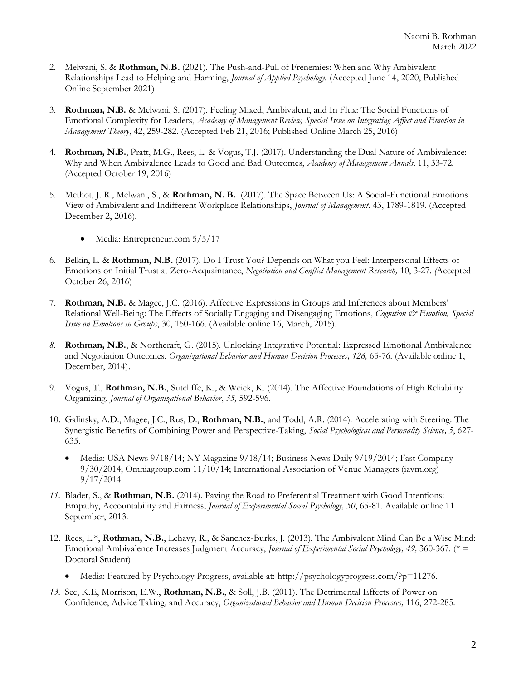- 2. Melwani, S. & **Rothman, N.B.** (2021). The Push-and-Pull of Frenemies: When and Why Ambivalent Relationships Lead to Helping and Harming, *Journal of Applied Psychology.* (Accepted June 14, 2020, Published Online September 2021)
- 3. **Rothman, N.B.** & Melwani, S. (2017). Feeling Mixed, Ambivalent, and In Flux: The Social Functions of Emotional Complexity for Leaders, *Academy of Management Review, Special Issue on Integrating Affect and Emotion in Management Theory*, 42, 259-282. (Accepted Feb 21, 2016; Published Online March 25, 2016)
- 4. **Rothman, N.B.**, Pratt, M.G., Rees, L. & Vogus, T.J. (2017). Understanding the Dual Nature of Ambivalence: Why and When Ambivalence Leads to Good and Bad Outcomes, *Academy of Management Annals*. 11, 33-72. (Accepted October 19, 2016)
- 5. Methot, J. R., Melwani, S., & **Rothman, N. B.** (2017). The Space Between Us: A Social-Functional Emotions View of Ambivalent and Indifferent Workplace Relationships, *Journal of Management*. 43, 1789-1819. (Accepted December 2, 2016).
	- Media: Entrepreneur.com 5/5/17
- 6. Belkin, L. & **Rothman, N.B.** (2017). Do I Trust You? Depends on What you Feel: Interpersonal Effects of Emotions on Initial Trust at Zero-Acquaintance, *Negotiation and Conflict Management Research,* 10, 3-27*. (*Accepted October 26, 2016)
- 7. **Rothman, N.B.** & Magee, J.C. (2016). Affective Expressions in Groups and Inferences about Members' Relational Well-Being: The Effects of Socially Engaging and Disengaging Emotions, *Cognition & Emotion, Special Issue on Emotions in Groups*, 30, 150-166. (Available online 16, March, 2015).
- *8.* **Rothman, N.B.**, & Northcraft, G. (2015). Unlocking Integrative Potential: Expressed Emotional Ambivalence and Negotiation Outcomes, *Organizational Behavior and Human Decision Processes, 126,* 65-76. (Available online 1, December, 2014).
- 9. Vogus, T., **Rothman, N.B.**, Sutcliffe, K., & Weick, K. (2014). The Affective Foundations of High Reliability Organizing. *Journal of Organizational Behavior*, *35,* 592-596.
- 10. Galinsky, A.D., Magee, J.C., Rus, D., **Rothman, N.B.**, and Todd, A.R. (2014). Accelerating with Steering: The Synergistic Benefits of Combining Power and Perspective-Taking, *Social Psychological and Personality Science, 5*, 627- 635.
	- Media: USA News 9/18/14; NY Magazine 9/18/14; Business News Daily 9/19/2014; Fast Company 9/30/2014; Omniagroup.com 11/10/14; International Association of Venue Managers (iavm.org) 9/17/2014
- *11.* Blader, S., & **Rothman, N.B.** (2014). Paving the Road to Preferential Treatment with Good Intentions: Empathy, Accountability and Fairness, *Journal of Experimental Social Psychology, 50*, 65-81. Available online 11 September, 2013.
- 12. Rees, L.\*, **Rothman, N.B.**, Lehavy, R., & Sanchez-Burks, J. (2013). The Ambivalent Mind Can Be a Wise Mind: Emotional Ambivalence Increases Judgment Accuracy, *Journal of Experimental Social Psychology*, 49, 360-367. (\* = Doctoral Student)
	- Media: Featured by Psychology Progress, available at: http://psychologyprogress.com/?p=11276.
- *13.* See, K.E, Morrison, E.W., **Rothman, N.B.**, & Soll, J.B. (2011). The Detrimental Effects of Power on Confidence, Advice Taking, and Accuracy, *Organizational Behavior and Human Decision Processes,* 116, 272-285.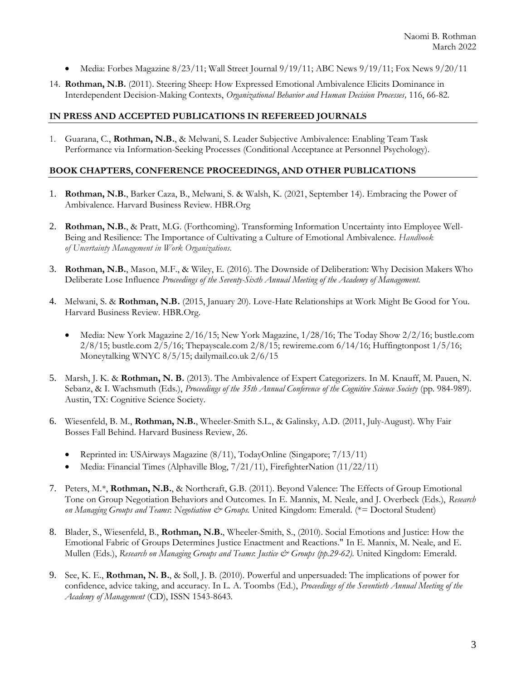- Media: Forbes Magazine 8/23/11; Wall Street Journal 9/19/11; ABC News 9/19/11; Fox News 9/20/11
- 14. **Rothman, N.B.** (2011). Steering Sheep: How Expressed Emotional Ambivalence Elicits Dominance in Interdependent Decision-Making Contexts, *Organizational Behavior and Human Decision Processes,* 116, 66-82.

#### **IN PRESS AND ACCEPTED PUBLICATIONS IN REFEREED JOURNALS**

1. Guarana, C., **Rothman, N.B.**, & Melwani, S. Leader Subjective Ambivalence: Enabling Team Task Performance via Information-Seeking Processes (Conditional Acceptance at Personnel Psychology).

#### **BOOK CHAPTERS, CONFERENCE PROCEEDINGS, AND OTHER PUBLICATIONS**

- 1. **Rothman, N.B.**, Barker Caza, B., Melwani, S. & Walsh, K. (2021, September 14). Embracing the Power of Ambivalence. Harvard Business Review. HBR.Org
- 2. **Rothman, N.B.**, & Pratt, M.G. (Forthcoming). Transforming Information Uncertainty into Employee Well-Being and Resilience: The Importance of Cultivating a Culture of Emotional Ambivalence. *Handbook of Uncertainty Management in Work Organizations.*
- 3. **Rothman, N.B.**, Mason, M.F., & Wiley, E. (2016). The Downside of Deliberation: Why Decision Makers Who Deliberate Lose Influence *Proceedings of the Seventy-Sixth Annual Meeting of the Academy of Management.*
- 4. Melwani, S. & **Rothman, N.B.** (2015, January 20). Love-Hate Relationships at Work Might Be Good for You. Harvard Business Review. HBR.Org.
	- Media: New York Magazine 2/16/15; New York Magazine, 1/28/16; The Today Show 2/2/16; bustle.com 2/8/15; bustle.com 2/5/16; Thepayscale.com 2/8/15; rewireme.com 6/14/16; Huffingtonpost 1/5/16; Moneytalking WNYC 8/5/15; dailymail.co.uk 2/6/15
- 5. Marsh, J. K. & **Rothman, N. B.** (2013). The Ambivalence of Expert Categorizers. In M. Knauff, M. Pauen, N. Sebanz, & I. Wachsmuth (Eds.), *Proceedings of the 35th Annual Conference of the Cognitive Science Society* (pp. 984-989). Austin, TX: Cognitive Science Society.
- 6. Wiesenfeld, B. M., **Rothman, N.B.**, Wheeler-Smith S.L., & Galinsky, A.D. (2011, July-August). Why Fair Bosses Fall Behind. Harvard Business Review, 26.
	- Reprinted in: USAirways Magazine (8/11), TodayOnline (Singapore; 7/13/11)
	- Media: Financial Times (Alphaville Blog, 7/21/11), FirefighterNation (11/22/11)
- 7. Peters, M.\*, **Rothman, N.B.**, & Northcraft, G.B. (2011). Beyond Valence: The Effects of Group Emotional Tone on Group Negotiation Behaviors and Outcomes. In E. Mannix, M. Neale, and J. Overbeck (Eds.), *Research on Managing Groups and Teams*: *Negotiation & Groups.* United Kingdom: Emerald. (\*= Doctoral Student)
- 8. Blader, S., Wiesenfeld, B., **Rothman, N.B.**, Wheeler-Smith, S., (2010). Social Emotions and Justice: How the Emotional Fabric of Groups Determines Justice Enactment and Reactions." In E. Mannix, M. Neale, and E. Mullen (Eds.), *Research on Managing Groups and Teams*: *Justice & Groups (pp.29-62)*. United Kingdom: Emerald.
- 9. See, K. E., **Rothman, N. B.**, & Soll, J. B. (2010). Powerful and unpersuaded: The implications of power for confidence, advice taking, and accuracy. In L. A. Toombs (Ed.), *Proceedings of the Seventieth Annual Meeting of the Academy of Management* (CD), ISSN 1543-8643.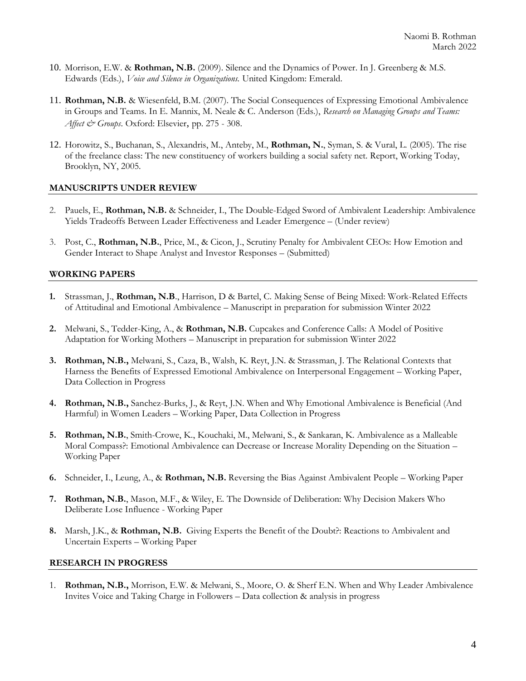- 10. Morrison, E.W. & **Rothman, N.B.** (2009). Silence and the Dynamics of Power. In J. Greenberg & M.S. Edwards (Eds.), *Voice and Silence in Organizations.* United Kingdom: Emerald.
- 11. **Rothman, N.B.** & Wiesenfeld, B.M. (2007). The Social Consequences of Expressing Emotional Ambivalence in Groups and Teams. In E. Mannix, M. Neale & C. Anderson (Eds.), *Research on Managing Groups and Teams: Affect & Groups*. Oxford: Elsevier, pp. 275 - 308.
- 12. Horowitz, S., Buchanan, S., Alexandris, M., Anteby, M., **Rothman, N.**, Syman, S. & Vural, L. (2005). The rise of the freelance class: The new constituency of workers building a social safety net. Report, Working Today, Brooklyn, NY, 2005.

#### **MANUSCRIPTS UNDER REVIEW**

- 2. Pauels, E., **Rothman, N.B.** & Schneider, I., The Double-Edged Sword of Ambivalent Leadership: Ambivalence Yields Tradeoffs Between Leader Effectiveness and Leader Emergence – (Under review)
- 3. Post, C., **Rothman, N.B.**, Price, M., & Cicon, J., Scrutiny Penalty for Ambivalent CEOs: How Emotion and Gender Interact to Shape Analyst and Investor Responses – (Submitted)

#### **WORKING PAPERS**

- **1.** Strassman, J., **Rothman, N.B**., Harrison, D & Bartel, C. Making Sense of Being Mixed: Work-Related Effects of Attitudinal and Emotional Ambivalence – Manuscript in preparation for submission Winter 2022
- **2.** Melwani, S., Tedder-King, A., & **Rothman, N.B.** Cupcakes and Conference Calls: A Model of Positive Adaptation for Working Mothers – Manuscript in preparation for submission Winter 2022
- **3. Rothman, N.B.,** Melwani, S., Caza, B., Walsh, K. Reyt, J.N. & Strassman, J. The Relational Contexts that Harness the Benefits of Expressed Emotional Ambivalence on Interpersonal Engagement – Working Paper, Data Collection in Progress
- **4. Rothman, N.B.,** Sanchez-Burks, J., & Reyt, J.N. When and Why Emotional Ambivalence is Beneficial (And Harmful) in Women Leaders – Working Paper, Data Collection in Progress
- **5. Rothman, N.B.**, Smith-Crowe, K., Kouchaki, M., Melwani, S., & Sankaran, K. Ambivalence as a Malleable Moral Compass?: Emotional Ambivalence can Decrease or Increase Morality Depending on the Situation – Working Paper
- **6.** Schneider, I., Leung, A., & **Rothman, N.B.** Reversing the Bias Against Ambivalent People Working Paper
- **7. Rothman, N.B.**, Mason, M.F., & Wiley, E. The Downside of Deliberation: Why Decision Makers Who Deliberate Lose Influence - Working Paper
- **8.** Marsh, J.K., & **Rothman, N.B.** Giving Experts the Benefit of the Doubt?: Reactions to Ambivalent and Uncertain Experts – Working Paper

#### **RESEARCH IN PROGRESS**

1. **Rothman, N.B.,** Morrison, E.W. & Melwani, S., Moore, O. & Sherf E.N. When and Why Leader Ambivalence Invites Voice and Taking Charge in Followers – Data collection & analysis in progress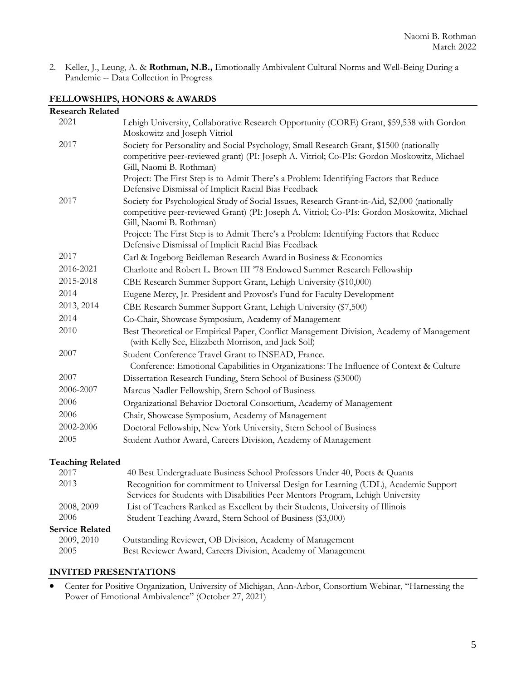2. Keller, J., Leung, A. & **Rothman, N.B.,** Emotionally Ambivalent Cultural Norms and Well-Being During a Pandemic -- Data Collection in Progress

## **FELLOWSHIPS, HONORS & AWARDS**

| <b>Research Related</b> |                                                                                                                                                                                                                       |
|-------------------------|-----------------------------------------------------------------------------------------------------------------------------------------------------------------------------------------------------------------------|
| 2021                    | Lehigh University, Collaborative Research Opportunity (CORE) Grant, \$59,538 with Gordon<br>Moskowitz and Joseph Vitriol                                                                                              |
| 2017                    | Society for Personality and Social Psychology, Small Research Grant, \$1500 (nationally<br>competitive peer-reviewed grant) (PI: Joseph A. Vitriol; Co-PIs: Gordon Moskowitz, Michael<br>Gill, Naomi B. Rothman)      |
|                         | Project: The First Step is to Admit There's a Problem: Identifying Factors that Reduce<br>Defensive Dismissal of Implicit Racial Bias Feedback                                                                        |
| $2017\,$                | Society for Psychological Study of Social Issues, Research Grant-in-Aid, \$2,000 (nationally<br>competitive peer-reviewed Grant) (PI: Joseph A. Vitriol; Co-PIs: Gordon Moskowitz, Michael<br>Gill, Naomi B. Rothman) |
|                         | Project: The First Step is to Admit There's a Problem: Identifying Factors that Reduce<br>Defensive Dismissal of Implicit Racial Bias Feedback                                                                        |
| 2017                    | Carl & Ingeborg Beidleman Research Award in Business & Economics                                                                                                                                                      |
| 2016-2021               | Charlotte and Robert L. Brown III '78 Endowed Summer Research Fellowship                                                                                                                                              |
| 2015-2018               | CBE Research Summer Support Grant, Lehigh University (\$10,000)                                                                                                                                                       |
| 2014                    | Eugene Mercy, Jr. President and Provost's Fund for Faculty Development                                                                                                                                                |
| 2013, 2014              | CBE Research Summer Support Grant, Lehigh University (\$7,500)                                                                                                                                                        |
| 2014                    | Co-Chair, Showcase Symposium, Academy of Management                                                                                                                                                                   |
| 2010                    | Best Theoretical or Empirical Paper, Conflict Management Division, Academy of Management<br>(with Kelly See, Elizabeth Morrison, and Jack Soll)                                                                       |
| 2007                    | Student Conference Travel Grant to INSEAD, France.<br>Conference: Emotional Capabilities in Organizations: The Influence of Context & Culture                                                                         |
| 2007                    | Dissertation Research Funding, Stern School of Business (\$3000)                                                                                                                                                      |
| 2006-2007               | Marcus Nadler Fellowship, Stern School of Business                                                                                                                                                                    |
| 2006                    | Organizational Behavior Doctoral Consortium, Academy of Management                                                                                                                                                    |
| 2006                    | Chair, Showcase Symposium, Academy of Management                                                                                                                                                                      |
| 2002-2006               | Doctoral Fellowship, New York University, Stern School of Business                                                                                                                                                    |
| 2005                    | Student Author Award, Careers Division, Academy of Management                                                                                                                                                         |
| <b>Teaching Related</b> |                                                                                                                                                                                                                       |
| 2017                    | 40 Best Undergraduate Business School Professors Under 40, Poets & Quants                                                                                                                                             |
| 2013                    | Recognition for commitment to Universal Design for Learning (UDL), Academic Support<br>Services for Students with Disabilities Peer Mentors Program, Lehigh University                                                |
| 2008, 2009              | List of Teachers Ranked as Excellent by their Students, University of Illinois                                                                                                                                        |
| 2006                    | Student Teaching Award, Stern School of Business (\$3,000)                                                                                                                                                            |
| <b>Service Related</b>  |                                                                                                                                                                                                                       |
| 2009, 2010<br>2005      | Outstanding Reviewer, OB Division, Academy of Management<br>Best Reviewer Award, Careers Division, Academy of Management                                                                                              |
|                         |                                                                                                                                                                                                                       |

#### **INVITED PRESENTATIONS**

• Center for Positive Organization, University of Michigan, Ann-Arbor, Consortium Webinar, "Harnessing the Power of Emotional Ambivalence" (October 27, 2021)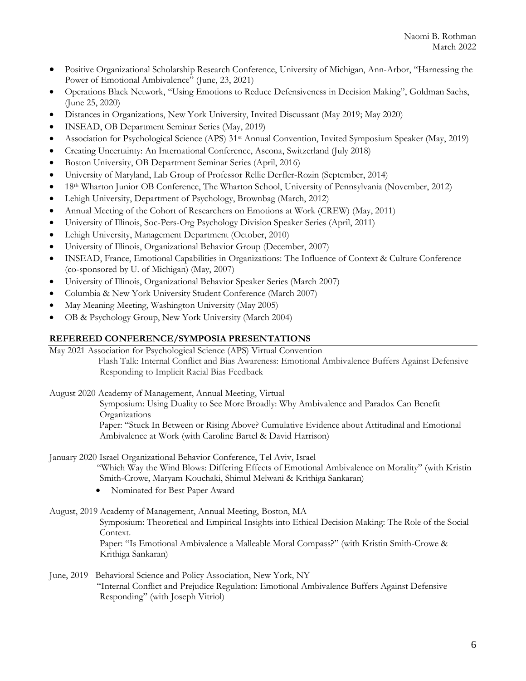- Positive Organizational Scholarship Research Conference, University of Michigan, Ann-Arbor, "Harnessing the Power of Emotional Ambivalence" (June, 23, 2021)
- Operations Black Network, "Using Emotions to Reduce Defensiveness in Decision Making", Goldman Sachs, (June 25, 2020)
- Distances in Organizations, New York University, Invited Discussant (May 2019; May 2020)
- INSEAD, OB Department Seminar Series (May, 2019)
- Association for Psychological Science (APS) 31st Annual Convention, Invited Symposium Speaker (May, 2019)
- Creating Uncertainty: An International Conference, Ascona, Switzerland (July 2018)
- Boston University, OB Department Seminar Series (April, 2016)
- University of Maryland, Lab Group of Professor Rellie Derfler-Rozin (September, 2014)
- 18<sup>th</sup> Wharton Junior OB Conference, The Wharton School, University of Pennsylvania (November, 2012)
- Lehigh University, Department of Psychology, Brownbag (March, 2012)
- Annual Meeting of the Cohort of Researchers on Emotions at Work (CREW) (May, 2011)
- University of Illinois, Soc-Pers-Org Psychology Division Speaker Series (April, 2011)
- Lehigh University, Management Department (October, 2010)
- University of Illinois, Organizational Behavior Group (December, 2007)
- INSEAD, France, Emotional Capabilities in Organizations: The Influence of Context & Culture Conference (co-sponsored by U. of Michigan) (May, 2007)
- University of Illinois, Organizational Behavior Speaker Series (March 2007)
- Columbia & New York University Student Conference (March 2007)
- May Meaning Meeting, Washington University (May 2005)
- OB & Psychology Group, New York University (March 2004)

#### **REFEREED CONFERENCE/SYMPOSIA PRESENTATIONS**

May 2021 Association for Psychological Science (APS) Virtual Convention Flash Talk: Internal Conflict and Bias Awareness: Emotional Ambivalence Buffers Against Defensive Responding to Implicit Racial Bias Feedback

August 2020 Academy of Management, Annual Meeting, Virtual

Symposium: Using Duality to See More Broadly: Why Ambivalence and Paradox Can Benefit **Organizations** 

 Paper: "Stuck In Between or Rising Above? Cumulative Evidence about Attitudinal and Emotional Ambivalence at Work (with Caroline Bartel & David Harrison)

January 2020 Israel Organizational Behavior Conference, Tel Aviv, Israel

 "Which Way the Wind Blows: Differing Effects of Emotional Ambivalence on Morality" (with Kristin Smith-Crowe, Maryam Kouchaki, Shimul Melwani & Krithiga Sankaran)

• Nominated for Best Paper Award

#### August, 2019 Academy of Management, Annual Meeting, Boston, MA

Symposium: Theoretical and Empirical Insights into Ethical Decision Making: The Role of the Social Context.

Paper: "Is Emotional Ambivalence a Malleable Moral Compass?" (with Kristin Smith-Crowe & Krithiga Sankaran)

#### June, 2019 Behavioral Science and Policy Association, New York, NY "Internal Conflict and Prejudice Regulation: Emotional Ambivalence Buffers Against Defensive Responding" (with Joseph Vitriol)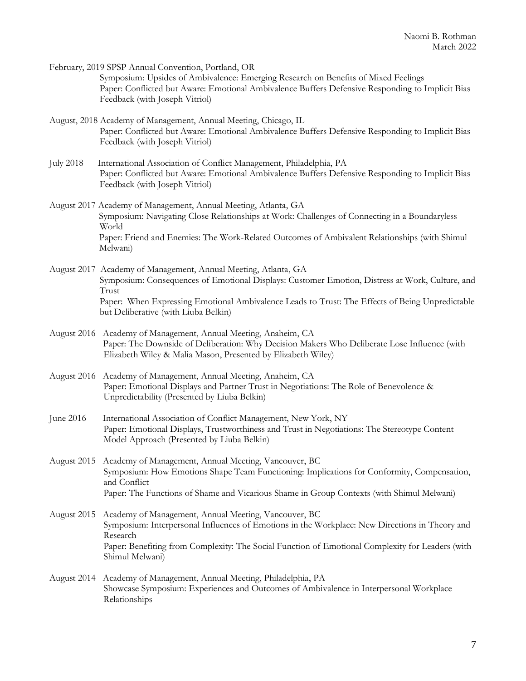February, 2019 SPSP Annual Convention, Portland, OR Symposium: Upsides of Ambivalence: Emerging Research on Benefits of Mixed Feelings Paper: Conflicted but Aware: Emotional Ambivalence Buffers Defensive Responding to Implicit Bias Feedback (with Joseph Vitriol)

- August, 2018 Academy of Management, Annual Meeting, Chicago, IL Paper: Conflicted but Aware: Emotional Ambivalence Buffers Defensive Responding to Implicit Bias Feedback (with Joseph Vitriol)
- July 2018 International Association of Conflict Management, Philadelphia, PA Paper: Conflicted but Aware: Emotional Ambivalence Buffers Defensive Responding to Implicit Bias Feedback (with Joseph Vitriol)
- August 2017 Academy of Management, Annual Meeting, Atlanta, GA Symposium: Navigating Close Relationships at Work: Challenges of Connecting in a Boundaryless World Paper: Friend and Enemies: The Work-Related Outcomes of Ambivalent Relationships (with Shimul Melwani)
- August 2017 Academy of Management, Annual Meeting, Atlanta, GA Symposium: Consequences of Emotional Displays: Customer Emotion, Distress at Work, Culture, and Trust Paper: When Expressing Emotional Ambivalence Leads to Trust: The Effects of Being Unpredictable but Deliberative (with Liuba Belkin)
- August 2016 Academy of Management, Annual Meeting, Anaheim, CA Paper: The Downside of Deliberation: Why Decision Makers Who Deliberate Lose Influence (with Elizabeth Wiley & Malia Mason, Presented by Elizabeth Wiley)
- August 2016 Academy of Management, Annual Meeting, Anaheim, CA Paper: Emotional Displays and Partner Trust in Negotiations: The Role of Benevolence & Unpredictability (Presented by Liuba Belkin)
- June 2016 International Association of Conflict Management, New York, NY Paper: Emotional Displays, Trustworthiness and Trust in Negotiations: The Stereotype Content Model Approach (Presented by Liuba Belkin)
- August 2015 Academy of Management, Annual Meeting, Vancouver, BC Symposium: How Emotions Shape Team Functioning: Implications for Conformity, Compensation, and Conflict Paper: The Functions of Shame and Vicarious Shame in Group Contexts (with Shimul Melwani)
- August 2015 Academy of Management, Annual Meeting, Vancouver, BC Symposium: Interpersonal Influences of Emotions in the Workplace: New Directions in Theory and Research Paper: Benefiting from Complexity: The Social Function of Emotional Complexity for Leaders (with Shimul Melwani)
- August 2014 Academy of Management, Annual Meeting, Philadelphia, PA Showcase Symposium: Experiences and Outcomes of Ambivalence in Interpersonal Workplace Relationships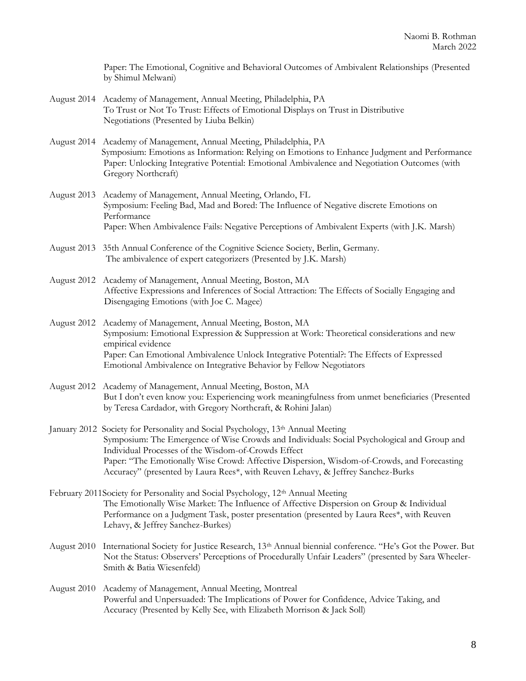Paper: The Emotional, Cognitive and Behavioral Outcomes of Ambivalent Relationships (Presented by Shimul Melwani)

- August 2014 Academy of Management, Annual Meeting, Philadelphia, PA To Trust or Not To Trust: Effects of Emotional Displays on Trust in Distributive Negotiations (Presented by Liuba Belkin)
- August 2014 Academy of Management, Annual Meeting, Philadelphia, PA Symposium: Emotions as Information: Relying on Emotions to Enhance Judgment and Performance Paper: Unlocking Integrative Potential: Emotional Ambivalence and Negotiation Outcomes (with Gregory Northcraft)
- August 2013 Academy of Management, Annual Meeting, Orlando, FL Symposium: Feeling Bad, Mad and Bored: The Influence of Negative discrete Emotions on Performance Paper: When Ambivalence Fails: Negative Perceptions of Ambivalent Experts (with J.K. Marsh)
- August 2013 35th Annual Conference of the Cognitive Science Society, Berlin, Germany. The ambivalence of expert categorizers (Presented by J.K. Marsh)
- August 2012 Academy of Management, Annual Meeting, Boston, MA Affective Expressions and Inferences of Social Attraction: The Effects of Socially Engaging and Disengaging Emotions (with Joe C. Magee)
- August 2012 Academy of Management, Annual Meeting, Boston, MA Symposium: Emotional Expression & Suppression at Work: Theoretical considerations and new empirical evidence Paper: Can Emotional Ambivalence Unlock Integrative Potential?: The Effects of Expressed Emotional Ambivalence on Integrative Behavior by Fellow Negotiators
- August 2012 Academy of Management, Annual Meeting, Boston, MA But I don't even know you: Experiencing work meaningfulness from unmet beneficiaries (Presented by Teresa Cardador, with Gregory Northcraft, & Rohini Jalan)
- January 2012 Society for Personality and Social Psychology, 13<sup>th</sup> Annual Meeting Symposium: The Emergence of Wise Crowds and Individuals: Social Psychological and Group and Individual Processes of the Wisdom-of-Crowds Effect Paper: "The Emotionally Wise Crowd: Affective Dispersion, Wisdom-of-Crowds, and Forecasting Accuracy" (presented by Laura Rees\*, with Reuven Lehavy, & Jeffrey Sanchez-Burks
- February 2011Society for Personality and Social Psychology, 12<sup>th</sup> Annual Meeting The Emotionally Wise Market: The Influence of Affective Dispersion on Group & Individual Performance on a Judgment Task, poster presentation (presented by Laura Rees\*, with Reuven Lehavy, & Jeffrey Sanchez-Burkes)
- August 2010 International Society for Justice Research, 13th Annual biennial conference. "He's Got the Power. But Not the Status: Observers' Perceptions of Procedurally Unfair Leaders" (presented by Sara Wheeler-Smith & Batia Wiesenfeld)
- August 2010Academy of Management, Annual Meeting, Montreal Powerful and Unpersuaded: The Implications of Power for Confidence, Advice Taking, and Accuracy (Presented by Kelly See, with Elizabeth Morrison & Jack Soll)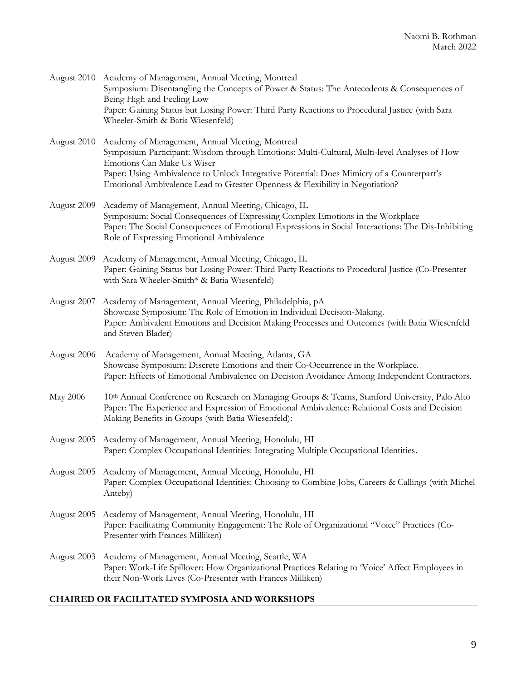|             | August 2010 Academy of Management, Annual Meeting, Montreal<br>Symposium: Disentangling the Concepts of Power & Status: The Antecedents & Consequences of<br>Being High and Feeling Low<br>Paper: Gaining Status but Losing Power: Third Party Reactions to Procedural Justice (with Sara<br>Wheeler-Smith & Batia Wiesenfeld)                            |
|-------------|-----------------------------------------------------------------------------------------------------------------------------------------------------------------------------------------------------------------------------------------------------------------------------------------------------------------------------------------------------------|
| August 2010 | Academy of Management, Annual Meeting, Montreal<br>Symposium Participant: Wisdom through Emotions: Multi-Cultural, Multi-level Analyses of How<br>Emotions Can Make Us Wiser<br>Paper: Using Ambivalence to Unlock Integrative Potential: Does Mimicry of a Counterpart's<br>Emotional Ambivalence Lead to Greater Openness & Flexibility in Negotiation? |
| August 2009 | Academy of Management, Annual Meeting, Chicago, IL<br>Symposium: Social Consequences of Expressing Complex Emotions in the Workplace<br>Paper: The Social Consequences of Emotional Expressions in Social Interactions: The Dis-Inhibiting<br>Role of Expressing Emotional Ambivalence                                                                    |
|             | August 2009 Academy of Management, Annual Meeting, Chicago, IL<br>Paper: Gaining Status but Losing Power: Third Party Reactions to Procedural Justice (Co-Presenter<br>with Sara Wheeler-Smith* & Batia Wiesenfeld)                                                                                                                                       |
| August 2007 | Academy of Management, Annual Meeting, Philadelphia, pA<br>Showcase Symposium: The Role of Emotion in Individual Decision-Making.<br>Paper: Ambivalent Emotions and Decision Making Processes and Outcomes (with Batia Wiesenfeld<br>and Steven Blader)                                                                                                   |
| August 2006 | Academy of Management, Annual Meeting, Atlanta, GA<br>Showcase Symposium: Discrete Emotions and their Co-Occurrence in the Workplace.<br>Paper: Effects of Emotional Ambivalence on Decision Avoidance Among Independent Contractors.                                                                                                                     |
| May 2006    | 10th Annual Conference on Research on Managing Groups & Teams, Stanford University, Palo Alto<br>Paper: The Experience and Expression of Emotional Ambivalence: Relational Costs and Decision<br>Making Benefits in Groups (with Batia Wiesenfeld):                                                                                                       |
| August 2005 | Academy of Management, Annual Meeting, Honolulu, HI<br>Paper: Complex Occupational Identities: Integrating Multiple Occupational Identities.                                                                                                                                                                                                              |
|             | August 2005 Academy of Management, Annual Meeting, Honolulu, HI<br>Paper: Complex Occupational Identities: Choosing to Combine Jobs, Careers & Callings (with Michel<br>Anteby)                                                                                                                                                                           |
|             | August 2005 Academy of Management, Annual Meeting, Honolulu, HI<br>Paper: Facilitating Community Engagement: The Role of Organizational "Voice" Practices (Co-<br>Presenter with Frances Milliken)                                                                                                                                                        |
|             | August 2003 Academy of Management, Annual Meeting, Seattle, WA<br>Paper: Work-Life Spillover: How Organizational Practices Relating to 'Voice' Affect Employees in<br>their Non-Work Lives (Co-Presenter with Frances Milliken)                                                                                                                           |

# **CHAIRED OR FACILITATED SYMPOSIA AND WORKSHOPS**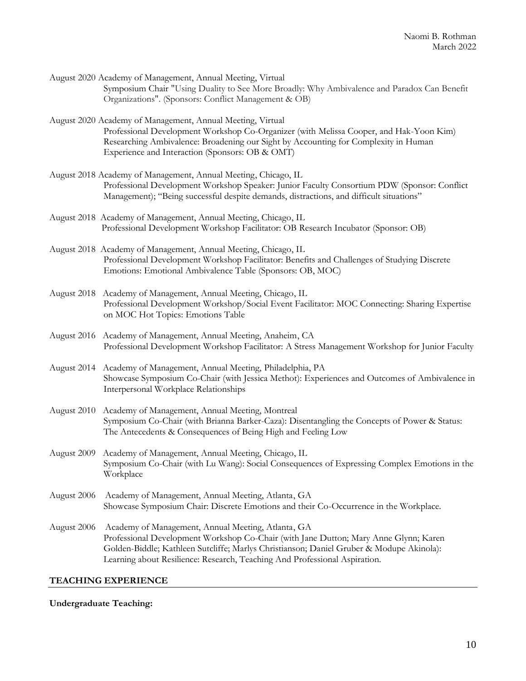| August 2020 Academy of Management, Annual Meeting, Virtual                                  |
|---------------------------------------------------------------------------------------------|
| Symposium Chair "Using Duality to See More Broadly: Why Ambivalence and Paradox Can Benefit |
| Organizations". (Sponsors: Conflict Management & OB)                                        |

August 2020 Academy of Management, Annual Meeting, Virtual Professional Development Workshop Co-Organizer (with Melissa Cooper, and Hak-Yoon Kim) Researching Ambivalence: Broadening our Sight by Accounting for Complexity in Human Experience and Interaction (Sponsors: OB & OMT)

August 2018 Academy of Management, Annual Meeting, Chicago, IL Professional Development Workshop Speaker: Junior Faculty Consortium PDW (Sponsor: Conflict Management); "Being successful despite demands, distractions, and difficult situations"

August 2018 Academy of Management, Annual Meeting, Chicago, IL Professional Development Workshop Facilitator: OB Research Incubator (Sponsor: OB)

August 2018 Academy of Management, Annual Meeting, Chicago, IL Professional Development Workshop Facilitator: Benefits and Challenges of Studying Discrete Emotions: Emotional Ambivalence Table (Sponsors: OB, MOC)

August 2018 Academy of Management, Annual Meeting, Chicago, IL Professional Development Workshop/Social Event Facilitator: MOC Connecting: Sharing Expertise on MOC Hot Topics: Emotions Table

August 2016 Academy of Management, Annual Meeting, Anaheim, CA Professional Development Workshop Facilitator: A Stress Management Workshop for Junior Faculty

August 2014 Academy of Management, Annual Meeting, Philadelphia, PA Showcase Symposium Co-Chair (with Jessica Methot): Experiences and Outcomes of Ambivalence in Interpersonal Workplace Relationships

August 2010Academy of Management, Annual Meeting, Montreal Symposium Co-Chair (with Brianna Barker-Caza): Disentangling the Concepts of Power & Status: The Antecedents & Consequences of Being High and Feeling Low

August 2009 Academy of Management, Annual Meeting, Chicago, IL Symposium Co-Chair (with Lu Wang): Social Consequences of Expressing Complex Emotions in the Workplace

August 2006 Academy of Management, Annual Meeting, Atlanta, GA Showcase Symposium Chair: Discrete Emotions and their Co-Occurrence in the Workplace.

August 2006 Academy of Management, Annual Meeting, Atlanta, GA Professional Development Workshop Co-Chair (with Jane Dutton; Mary Anne Glynn; Karen Golden-Biddle; Kathleen Sutcliffe; Marlys Christianson; Daniel Gruber & Modupe Akinola): Learning about Resilience: Research, Teaching And Professional Aspiration.

#### **TEACHING EXPERIENCE**

#### **Undergraduate Teaching:**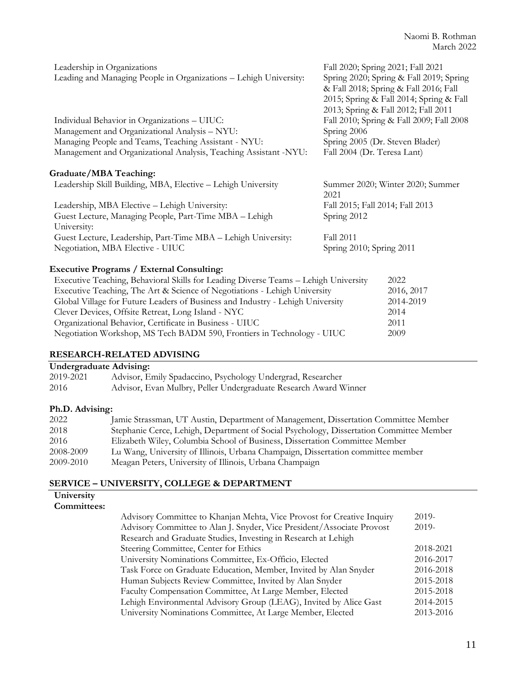| Fall 2020; Spring 2021; Fall 2021        |
|------------------------------------------|
| Spring 2020; Spring & Fall 2019; Spring  |
| & Fall 2018; Spring & Fall 2016; Fall    |
| 2015; Spring & Fall 2014; Spring & Fall  |
| 2013; Spring & Fall 2012; Fall 2011      |
| Fall 2010; Spring & Fall 2009; Fall 2008 |
| Spring 2006                              |
| Spring 2005 (Dr. Steven Blader)          |
| Fall 2004 (Dr. Teresa Lant)              |
|                                          |
|                                          |
| Summer 2020; Winter 2020; Summer         |
| 2021                                     |
| Fall 2015; Fall 2014; Fall 2013          |
| Spring 2012                              |
|                                          |
|                                          |
| <b>Fall 2011</b>                         |
|                                          |

## **Executive Programs / External Consulting:**

| Executive Teaching, Behavioral Skills for Leading Diverse Teams - Lehigh University | 2022       |
|-------------------------------------------------------------------------------------|------------|
| Executive Teaching, The Art & Science of Negotiations - Lehigh University           | 2016, 2017 |
| Global Village for Future Leaders of Business and Industry - Lehigh University      | 2014-2019  |
| Clever Devices, Offsite Retreat, Long Island - NYC                                  | 2014       |
| Organizational Behavior, Certificate in Business - UIUC                             | 2011       |
| Negotiation Workshop, MS Tech BADM 590, Frontiers in Technology - UIUC              | 2009       |

## **RESEARCH-RELATED ADVISING**

| <b>Undergraduate Advising:</b> |                                                                  |  |
|--------------------------------|------------------------------------------------------------------|--|
| 2019-2021                      | Advisor, Emily Spadaccino, Psychology Undergrad, Researcher      |  |
| 2016                           | Advisor, Evan Mulbry, Peller Undergraduate Research Award Winner |  |

#### **Ph.D. Advising:**

| 2022      | Jamie Strassman, UT Austin, Department of Management, Dissertation Committee Member     |
|-----------|-----------------------------------------------------------------------------------------|
| 2018      | Stephanie Cerce, Lehigh, Department of Social Psychology, Dissertation Committee Member |
| 2016      | Elizabeth Wiley, Columbia School of Business, Dissertation Committee Member             |
| 2008-2009 | Lu Wang, University of Illinois, Urbana Champaign, Dissertation committee member        |
| 2009-2010 | Meagan Peters, University of Illinois, Urbana Champaign                                 |

## **SERVICE – UNIVERSITY, COLLEGE & DEPARTMENT**

# **University**

| <b>Committees:</b> |
|--------------------|
|--------------------|

| Advisory Committee to Khanjan Mehta, Vice Provost for Creative Inquiry | $2019-$   |
|------------------------------------------------------------------------|-----------|
| Advisory Committee to Alan J. Snyder, Vice President/Associate Provost | 2019-     |
| Research and Graduate Studies, Investing in Research at Lehigh         |           |
| Steering Committee, Center for Ethics                                  | 2018-2021 |
| University Nominations Committee, Ex-Officio, Elected                  | 2016-2017 |
| Task Force on Graduate Education, Member, Invited by Alan Snyder       | 2016-2018 |
| Human Subjects Review Committee, Invited by Alan Snyder                | 2015-2018 |
| Faculty Compensation Committee, At Large Member, Elected               | 2015-2018 |
| Lehigh Environmental Advisory Group (LEAG), Invited by Alice Gast      | 2014-2015 |
| University Nominations Committee, At Large Member, Elected             | 2013-2016 |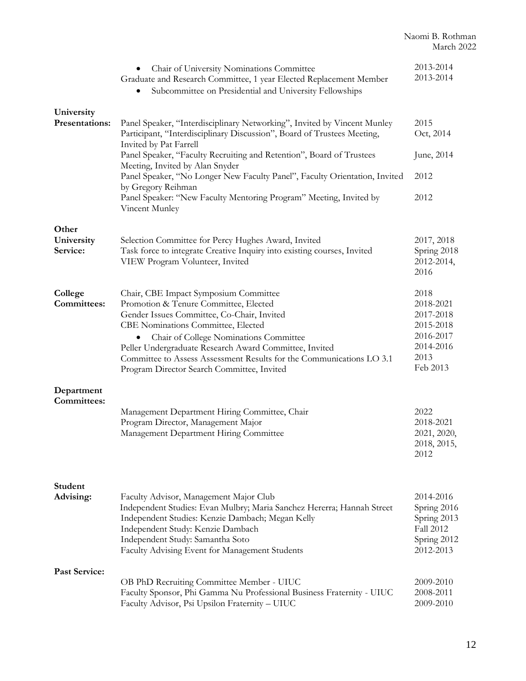|                              | Chair of University Nominations Committee<br>$\bullet$<br>Graduate and Research Committee, 1 year Elected Replacement Member<br>Subcommittee on Presidential and University Fellowships                                                                                                                                                                                                                   | 2013-2014<br>2013-2014                                                                    |
|------------------------------|-----------------------------------------------------------------------------------------------------------------------------------------------------------------------------------------------------------------------------------------------------------------------------------------------------------------------------------------------------------------------------------------------------------|-------------------------------------------------------------------------------------------|
| University<br>Presentations: | Panel Speaker, "Interdisciplinary Networking", Invited by Vincent Munley<br>Participant, "Interdisciplinary Discussion", Board of Trustees Meeting,<br>Invited by Pat Farrell                                                                                                                                                                                                                             | 2015<br>Oct, 2014                                                                         |
|                              | Panel Speaker, "Faculty Recruiting and Retention", Board of Trustees<br>Meeting, Invited by Alan Snyder                                                                                                                                                                                                                                                                                                   | June, 2014                                                                                |
|                              | Panel Speaker, "No Longer New Faculty Panel", Faculty Orientation, Invited<br>by Gregory Reihman                                                                                                                                                                                                                                                                                                          | 2012                                                                                      |
|                              | Panel Speaker: "New Faculty Mentoring Program" Meeting, Invited by<br>Vincent Munley                                                                                                                                                                                                                                                                                                                      | 2012                                                                                      |
| Other                        |                                                                                                                                                                                                                                                                                                                                                                                                           |                                                                                           |
| University<br>Service:       | Selection Committee for Percy Hughes Award, Invited<br>Task force to integrate Creative Inquiry into existing courses, Invited<br>VIEW Program Volunteer, Invited                                                                                                                                                                                                                                         | 2017, 2018<br>Spring 2018<br>2012-2014,<br>2016                                           |
| College<br>Committees:       | Chair, CBE Impact Symposium Committee<br>Promotion & Tenure Committee, Elected<br>Gender Issues Committee, Co-Chair, Invited<br>CBE Nominations Committee, Elected<br>Chair of College Nominations Committee<br>$\bullet$<br>Peller Undergraduate Research Award Committee, Invited<br>Committee to Assess Assessment Results for the Communications LO 3.1<br>Program Director Search Committee, Invited | 2018<br>2018-2021<br>2017-2018<br>2015-2018<br>2016-2017<br>2014-2016<br>2013<br>Feb 2013 |
| Department                   |                                                                                                                                                                                                                                                                                                                                                                                                           |                                                                                           |
| Committees:                  | Management Department Hiring Committee, Chair<br>Program Director, Management Major<br>Management Department Hiring Committee                                                                                                                                                                                                                                                                             | 2022<br>2018-2021<br>2021, 2020,<br>2018, 2015,<br>2012                                   |
| <b>Student</b><br>Advising:  | Faculty Advisor, Management Major Club<br>Independent Studies: Evan Mulbry; Maria Sanchez Hererra; Hannah Street<br>Independent Studies: Kenzie Dambach; Megan Kelly<br>Independent Study: Kenzie Dambach<br>Independent Study: Samantha Soto<br>Faculty Advising Event for Management Students                                                                                                           | 2014-2016<br>Spring 2016<br>Spring 2013<br>Fall 2012<br>Spring 2012<br>2012-2013          |
| Past Service:                |                                                                                                                                                                                                                                                                                                                                                                                                           |                                                                                           |
|                              | OB PhD Recruiting Committee Member - UIUC<br>Faculty Sponsor, Phi Gamma Nu Professional Business Fraternity - UIUC<br>Faculty Advisor, Psi Upsilon Fraternity - UIUC                                                                                                                                                                                                                                      | 2009-2010<br>2008-2011<br>2009-2010                                                       |